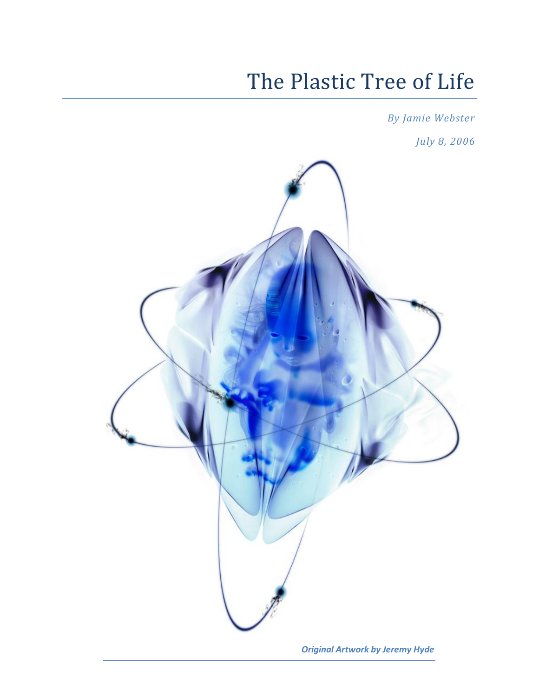## The Plastic Tree of Life

*By Jamie Webster July 8, 2006*



*Original Artwork by Jeremy Hyde*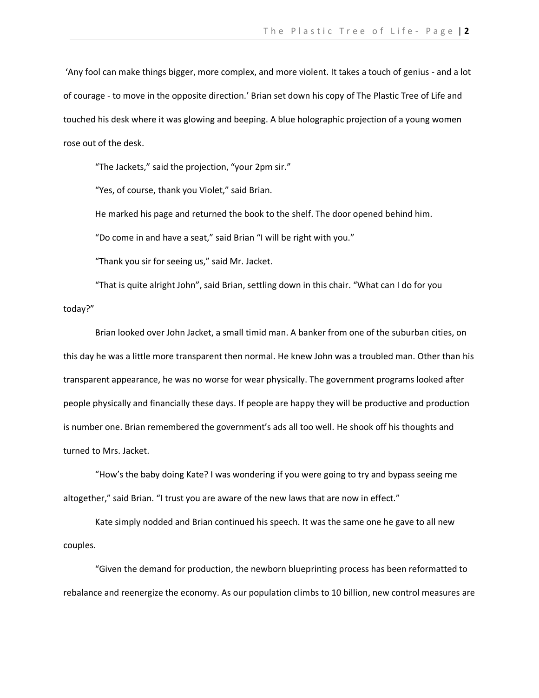'Any fool can make things bigger, more complex, and more violent. It takes a touch of genius - and a lot of courage - to move in the opposite direction.'Brian set down his copy of The Plastic Tree of Life and touched his desk where it was glowing and beeping. A blue holographic projection of a young women rose out of the desk.

"The Jackets," said the projection, "your 2pm sir."

"Yes, of course, thank you Violet," said Brian.

He marked his page and returned the book to the shelf. The door opened behind him.

"Do come in and have a seat," said Brian "I will be right with you."

"Thank you sir for seeing us," said Mr. Jacket.

"That is quite alright John", said Brian, settling down in this chair. "What can I do for you today?"

Brian looked over John Jacket, a small timid man. A banker from one of the suburban cities, on this day he was a little more transparent then normal. He knew John was a troubled man. Other than his transparent appearance, he was no worse for wear physically. The government programs looked after people physically and financially these days. If people are happy they will be productive and production is number one. Brian remembered the government's ads all too well. He shook off his thoughts and turned to Mrs. Jacket.

"How's the baby doing Kate? I was wondering if you were going to try and bypass seeing me altogether," said Brian. "I trust you are aware of the new laws that are now in effect."

Kate simply nodded and Brian continued his speech. It was the same one he gave to all new couples.

"Given the demand for production, the newborn blueprinting process has been reformatted to rebalance and reenergize the economy. As our population climbs to 10 billion, new control measures are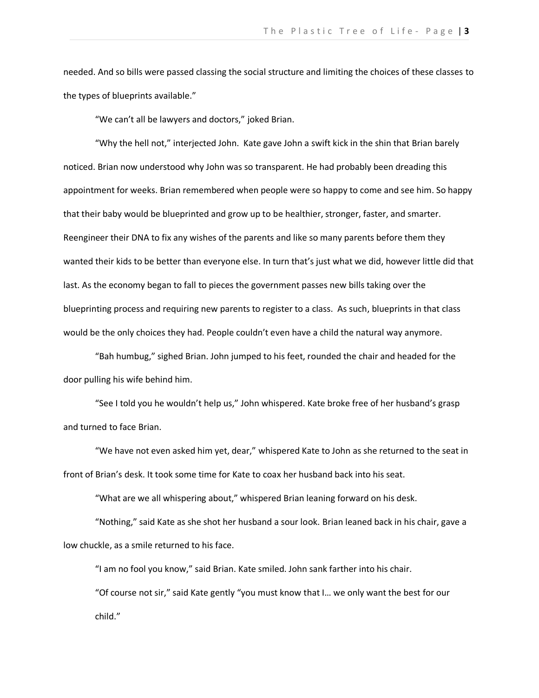needed. And so bills were passed classing the social structure and limiting the choices of these classes to the types of blueprints available."

"We can't all be lawyers and doctors," joked Brian.

"Why the hell not," interjected John. Kate gave John a swift kick in the shin that Brian barely noticed. Brian now understood why John was so transparent. He had probably been dreading this appointment for weeks. Brian remembered when people were so happy to come and see him. So happy that their baby would be blueprinted and grow up to be healthier, stronger, faster, and smarter. Reengineer their DNA to fix any wishes of the parents and like so many parents before them they wanted their kids to be better than everyone else. In turn that's just what we did, however little did that last. As the economy began to fall to pieces the government passes new bills taking over the blueprinting process and requiring new parents to register to a class. As such, blueprints in that class would be the only choices they had. People couldn't even have a child the natural way anymore.

"Bah humbug," sighed Brian. John jumped to his feet, rounded the chair and headed for the door pulling his wife behind him.

"See I told you he wouldn't help us," John whispered. Kate broke free of her husband's grasp and turned to face Brian.

"We have not even asked him yet, dear," whispered Kate to John as she returned to the seat in front of Brian's desk. It took some time for Kate to coax her husband back into his seat.

"What are we all whispering about," whispered Brian leaning forward on his desk.

"Nothing," said Kate as she shot her husband a sour look. Brian leaned back in his chair, gave a low chuckle, as a smile returned to his face.

"I am no fool you know ," said Brian. Kate smiled. John sank farther into his chair. "Of course not sir," said Kate gently "you must know that I... we only want the best for our child."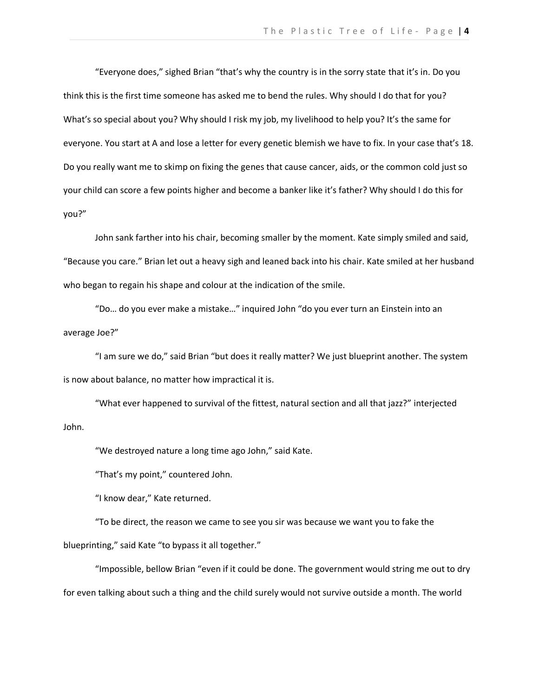"Everyone does," sighed Brian "that's why the country is in the sorry state that it's in. Do you think this is the first time someone has asked me to bend the rules. Why should I do that for you? What's so special about you? Why should I risk my job, my livelihood to help you? It's the same for everyone. You start at A and lose a letter for every genetic blemish we have to fix. In your case that's 18. Do you really want me to skimp on fixing the genes that cause cancer, aids, or the common cold just so your child can score a few points higher and become a banker like it's father? Why should I do this for you?"

John sank farther into his chair, becoming smaller by the moment. Kate simply smiled and said, "Because you care." Brian let out a heavy sigh and leaned back into his chair. Kate smiled at her husband who began to regain his shape and colour at the indication of the smile.

"Do... do you ever make a mistake..." inquired John "do you ever turn an Einstein into an average Joe?"

"I am sure we do," said Brian "but does it really matter? We just blueprint another. The system is now about balance, no matter how impractical it is.

"What ever happened to survival of the fittest, natural section and all that jazz?" interjected John.

"We destroyed nature a long time ago John," said Kate.

"That's my point," countered John.

"I know dear," Kate returned.

"To be direct, the reason we came to see you sir was because we want you to fake the blueprinting," said Kate "to bypass it all together."

"Impossible, bellow Brian "even if it could be done. The government would string me out to dry for even talking about such a thing and the child surely would not survive outside a month. The world